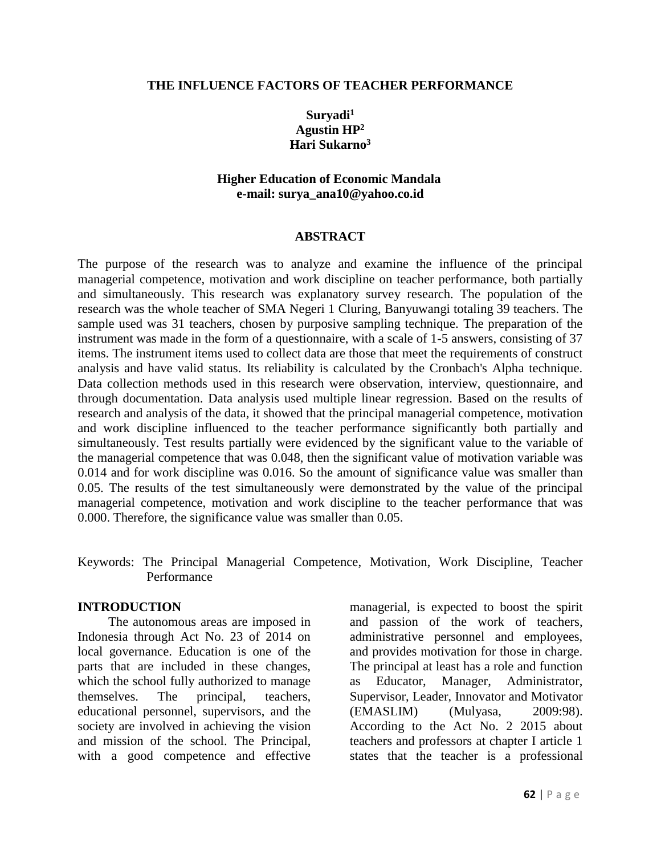#### **THE INFLUENCE FACTORS OF TEACHER PERFORMANCE**

## **Suryadi<sup>1</sup> Agustin HP<sup>2</sup> Hari Sukarno<sup>3</sup>**

## **Higher Education of Economic Mandala e-mail: surya\_ana10@yahoo.co.id**

#### **ABSTRACT**

The purpose of the research was to analyze and examine the influence of the principal managerial competence, motivation and work discipline on teacher performance, both partially and simultaneously. This research was explanatory survey research. The population of the research was the whole teacher of SMA Negeri 1 Cluring, Banyuwangi totaling 39 teachers. The sample used was 31 teachers, chosen by purposive sampling technique. The preparation of the instrument was made in the form of a questionnaire, with a scale of 1-5 answers, consisting of 37 items. The instrument items used to collect data are those that meet the requirements of construct analysis and have valid status. Its reliability is calculated by the Cronbach's Alpha technique. Data collection methods used in this research were observation, interview, questionnaire, and through documentation. Data analysis used multiple linear regression. Based on the results of research and analysis of the data, it showed that the principal managerial competence, motivation and work discipline influenced to the teacher performance significantly both partially and simultaneously. Test results partially were evidenced by the significant value to the variable of the managerial competence that was 0.048, then the significant value of motivation variable was 0.014 and for work discipline was 0.016. So the amount of significance value was smaller than 0.05. The results of the test simultaneously were demonstrated by the value of the principal managerial competence, motivation and work discipline to the teacher performance that was 0.000. Therefore, the significance value was smaller than 0.05.

Keywords: The Principal Managerial Competence, Motivation, Work Discipline, Teacher Performance

#### **INTRODUCTION**

The autonomous areas are imposed in Indonesia through Act No. 23 of 2014 on local governance. Education is one of the parts that are included in these changes, which the school fully authorized to manage themselves. The principal, teachers, educational personnel, supervisors, and the society are involved in achieving the vision and mission of the school. The Principal, with a good competence and effective managerial, is expected to boost the spirit and passion of the work of teachers, administrative personnel and employees, and provides motivation for those in charge. The principal at least has a role and function as Educator, Manager, Administrator, Supervisor, Leader, Innovator and Motivator (EMASLIM) (Mulyasa, 2009:98). According to the Act No. 2 2015 about teachers and professors at chapter I article 1 states that the teacher is a professional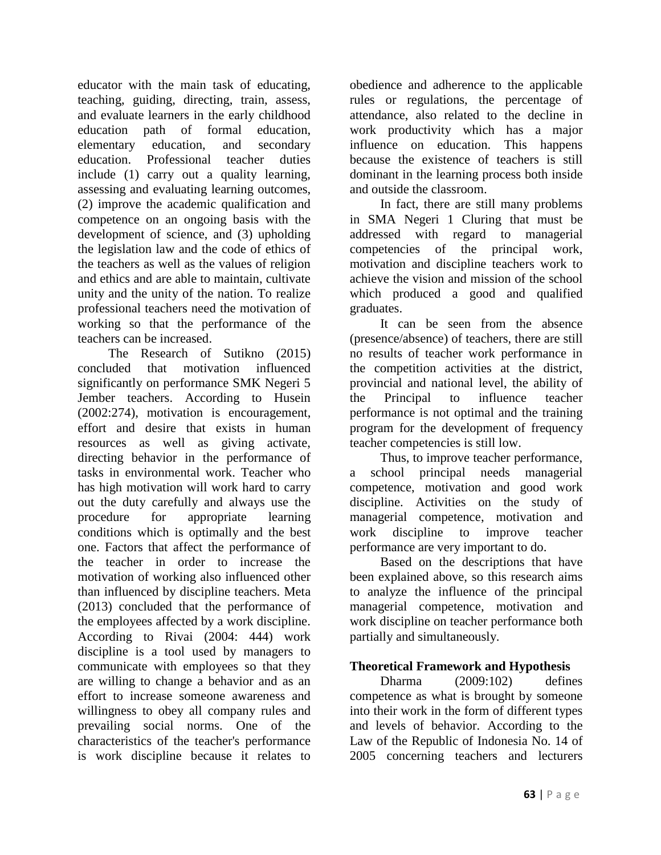educator with the main task of educating, teaching, guiding, directing, train, assess, and evaluate learners in the early childhood education path of formal education, elementary education, and secondary education. Professional teacher duties include (1) carry out a quality learning, assessing and evaluating learning outcomes, (2) improve the academic qualification and competence on an ongoing basis with the development of science, and (3) upholding the legislation law and the code of ethics of the teachers as well as the values of religion and ethics and are able to maintain, cultivate unity and the unity of the nation. To realize professional teachers need the motivation of working so that the performance of the teachers can be increased.

The Research of Sutikno (2015) concluded that motivation influenced significantly on performance SMK Negeri 5 Jember teachers. According to Husein (2002:274), motivation is encouragement, effort and desire that exists in human resources as well as giving activate, directing behavior in the performance of tasks in environmental work. Teacher who has high motivation will work hard to carry out the duty carefully and always use the procedure for appropriate learning conditions which is optimally and the best one. Factors that affect the performance of the teacher in order to increase the motivation of working also influenced other than influenced by discipline teachers. Meta (2013) concluded that the performance of the employees affected by a work discipline. According to Rivai (2004: 444) work discipline is a tool used by managers to communicate with employees so that they are willing to change a behavior and as an effort to increase someone awareness and willingness to obey all company rules and prevailing social norms. One of the characteristics of the teacher's performance is work discipline because it relates to

obedience and adherence to the applicable rules or regulations, the percentage of attendance, also related to the decline in work productivity which has a major influence on education. This happens because the existence of teachers is still dominant in the learning process both inside and outside the classroom.

In fact, there are still many problems in SMA Negeri 1 Cluring that must be addressed with regard to managerial competencies of the principal work, motivation and discipline teachers work to achieve the vision and mission of the school which produced a good and qualified graduates.

It can be seen from the absence (presence/absence) of teachers, there are still no results of teacher work performance in the competition activities at the district, provincial and national level, the ability of the Principal to influence teacher performance is not optimal and the training program for the development of frequency teacher competencies is still low.

Thus, to improve teacher performance, a school principal needs managerial competence, motivation and good work discipline. Activities on the study of managerial competence, motivation and work discipline to improve teacher performance are very important to do.

Based on the descriptions that have been explained above, so this research aims to analyze the influence of the principal managerial competence, motivation and work discipline on teacher performance both partially and simultaneously.

# **Theoretical Framework and Hypothesis**

Dharma (2009:102) defines competence as what is brought by someone into their work in the form of different types and levels of behavior. According to the Law of the Republic of Indonesia No. 14 of 2005 concerning teachers and lecturers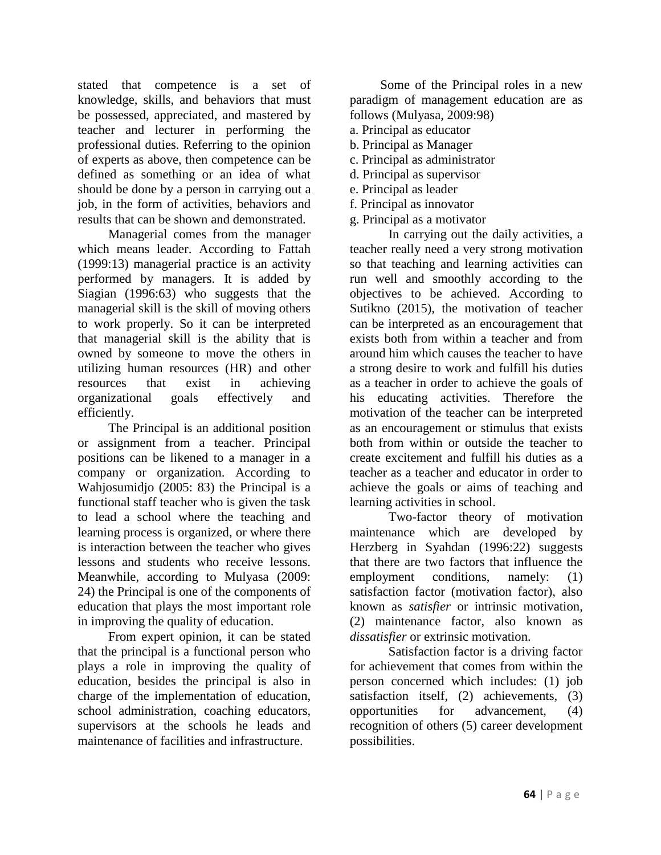stated that competence is a set of knowledge, skills, and behaviors that must be possessed, appreciated, and mastered by teacher and lecturer in performing the professional duties. Referring to the opinion of experts as above, then competence can be defined as something or an idea of what should be done by a person in carrying out a job, in the form of activities, behaviors and results that can be shown and demonstrated.

Managerial comes from the manager which means leader. According to Fattah (1999:13) managerial practice is an activity performed by managers. It is added by Siagian (1996:63) who suggests that the managerial skill is the skill of moving others to work properly. So it can be interpreted that managerial skill is the ability that is owned by someone to move the others in utilizing human resources (HR) and other resources that exist in achieving organizational goals effectively and efficiently.

The Principal is an additional position or assignment from a teacher. Principal positions can be likened to a manager in a company or organization. According to Wahjosumidjo (2005: 83) the Principal is a functional staff teacher who is given the task to lead a school where the teaching and learning process is organized, or where there is interaction between the teacher who gives lessons and students who receive lessons. Meanwhile, according to Mulyasa (2009: 24) the Principal is one of the components of education that plays the most important role in improving the quality of education.

From expert opinion, it can be stated that the principal is a functional person who plays a role in improving the quality of education, besides the principal is also in charge of the implementation of education, school administration, coaching educators, supervisors at the schools he leads and maintenance of facilities and infrastructure.

Some of the Principal roles in a new paradigm of management education are as follows (Mulyasa, 2009:98)

- a. Principal as educator
- b. Principal as Manager
- c. Principal as administrator
- d. Principal as supervisor
- e. Principal as leader
- f. Principal as innovator
- g. Principal as a motivator

In carrying out the daily activities, a teacher really need a very strong motivation so that teaching and learning activities can run well and smoothly according to the objectives to be achieved. According to Sutikno (2015), the motivation of teacher can be interpreted as an encouragement that exists both from within a teacher and from around him which causes the teacher to have a strong desire to work and fulfill his duties as a teacher in order to achieve the goals of his educating activities. Therefore the motivation of the teacher can be interpreted as an encouragement or stimulus that exists both from within or outside the teacher to create excitement and fulfill his duties as a teacher as a teacher and educator in order to achieve the goals or aims of teaching and learning activities in school.

Two-factor theory of motivation maintenance which are developed by Herzberg in Syahdan (1996:22) suggests that there are two factors that influence the employment conditions, namely: (1) satisfaction factor (motivation factor), also known as *satisfier* or intrinsic motivation, (2) maintenance factor, also known as *dissatisfier* or extrinsic motivation.

Satisfaction factor is a driving factor for achievement that comes from within the person concerned which includes: (1) job satisfaction itself, (2) achievements, (3) opportunities for advancement, (4) recognition of others (5) career development possibilities.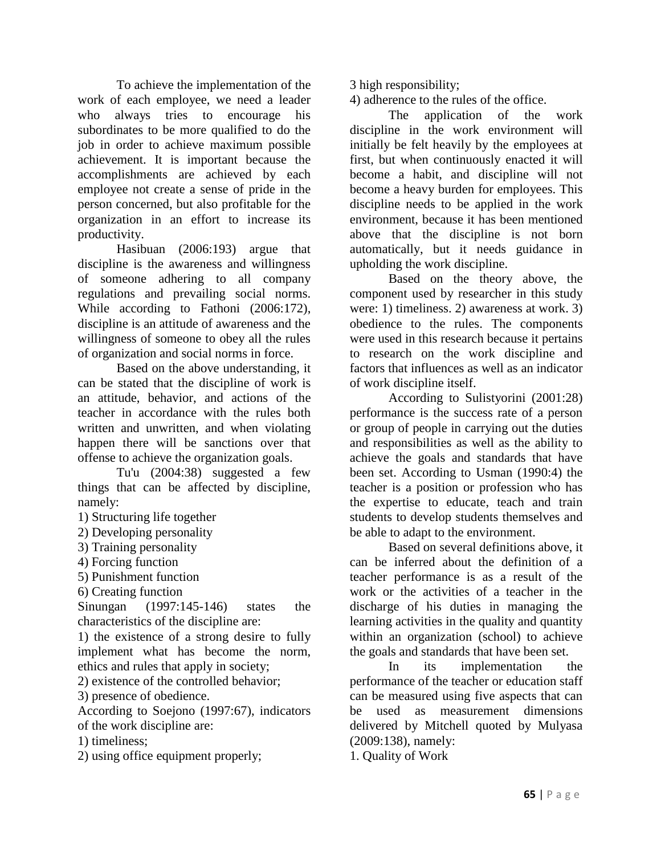To achieve the implementation of the work of each employee, we need a leader who always tries to encourage his subordinates to be more qualified to do the job in order to achieve maximum possible achievement. It is important because the accomplishments are achieved by each employee not create a sense of pride in the person concerned, but also profitable for the organization in an effort to increase its productivity.

Hasibuan (2006:193) argue that discipline is the awareness and willingness of someone adhering to all company regulations and prevailing social norms. While according to Fathoni (2006:172), discipline is an attitude of awareness and the willingness of someone to obey all the rules of organization and social norms in force.

Based on the above understanding, it can be stated that the discipline of work is an attitude, behavior, and actions of the teacher in accordance with the rules both written and unwritten, and when violating happen there will be sanctions over that offense to achieve the organization goals.

Tu'u (2004:38) suggested a few things that can be affected by discipline, namely:

1) Structuring life together

2) Developing personality

3) Training personality

4) Forcing function

5) Punishment function

6) Creating function

Sinungan (1997:145-146) states the characteristics of the discipline are:

1) the existence of a strong desire to fully implement what has become the norm, ethics and rules that apply in society;

2) existence of the controlled behavior;

3) presence of obedience.

According to Soejono (1997:67), indicators of the work discipline are:

1) timeliness;

2) using office equipment properly;

3 high responsibility;

4) adherence to the rules of the office.

The application of the work discipline in the work environment will initially be felt heavily by the employees at first, but when continuously enacted it will become a habit, and discipline will not become a heavy burden for employees. This discipline needs to be applied in the work environment, because it has been mentioned above that the discipline is not born automatically, but it needs guidance in upholding the work discipline.

Based on the theory above, the component used by researcher in this study were: 1) timeliness. 2) awareness at work. 3) obedience to the rules. The components were used in this research because it pertains to research on the work discipline and factors that influences as well as an indicator of work discipline itself.

According to Sulistyorini (2001:28) performance is the success rate of a person or group of people in carrying out the duties and responsibilities as well as the ability to achieve the goals and standards that have been set. According to Usman (1990:4) the teacher is a position or profession who has the expertise to educate, teach and train students to develop students themselves and be able to adapt to the environment.

Based on several definitions above, it can be inferred about the definition of a teacher performance is as a result of the work or the activities of a teacher in the discharge of his duties in managing the learning activities in the quality and quantity within an organization (school) to achieve the goals and standards that have been set.

In its implementation the performance of the teacher or education staff can be measured using five aspects that can be used as measurement dimensions delivered by Mitchell quoted by Mulyasa (2009:138), namely:

1. Quality of Work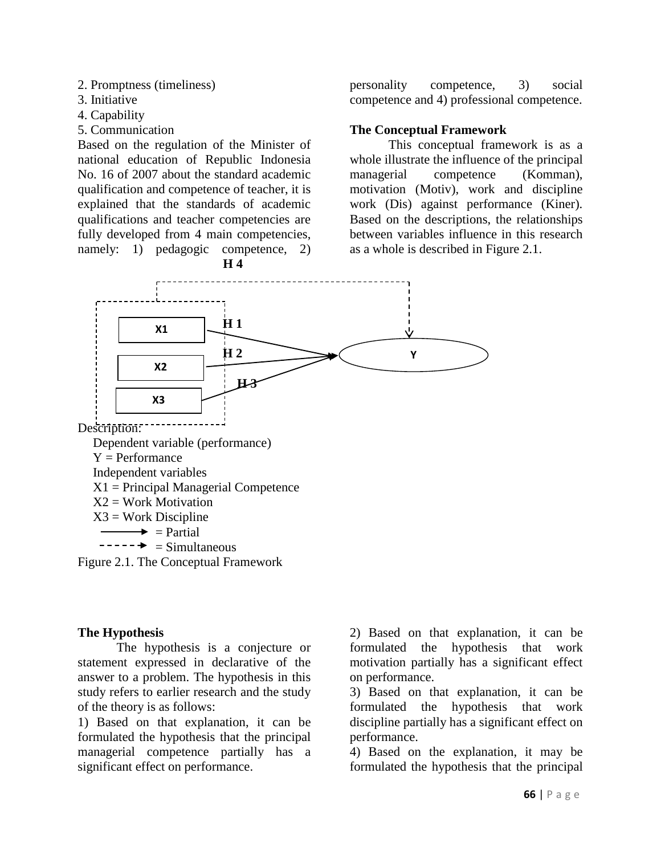- 2. Promptness (timeliness)
- 3. Initiative
- 4. Capability
- 5. Communication

Based on the regulation of the Minister of national education of Republic Indonesia No. 16 of 2007 about the standard academic qualification and competence of teacher, it is explained that the standards of academic qualifications and teacher competencies are fully developed from 4 main competencies, namely: 1) pedagogic competence, 2)



personality competence, 3) social competence and 4) professional competence.

### **The Conceptual Framework**

This conceptual framework is as a whole illustrate the influence of the principal managerial competence (Komman), motivation (Motiv), work and discipline work (Dis) against performance (Kiner). Based on the descriptions, the relationships between variables influence in this research as a whole is described in Figure 2.1.



#### **The Hypothesis**

The hypothesis is a conjecture or statement expressed in declarative of the answer to a problem. The hypothesis in this study refers to earlier research and the study of the theory is as follows:

1) Based on that explanation, it can be formulated the hypothesis that the principal managerial competence partially has a significant effect on performance.

2) Based on that explanation, it can be formulated the hypothesis that work motivation partially has a significant effect on performance.

3) Based on that explanation, it can be formulated the hypothesis that work discipline partially has a significant effect on performance.

4) Based on the explanation, it may be formulated the hypothesis that the principal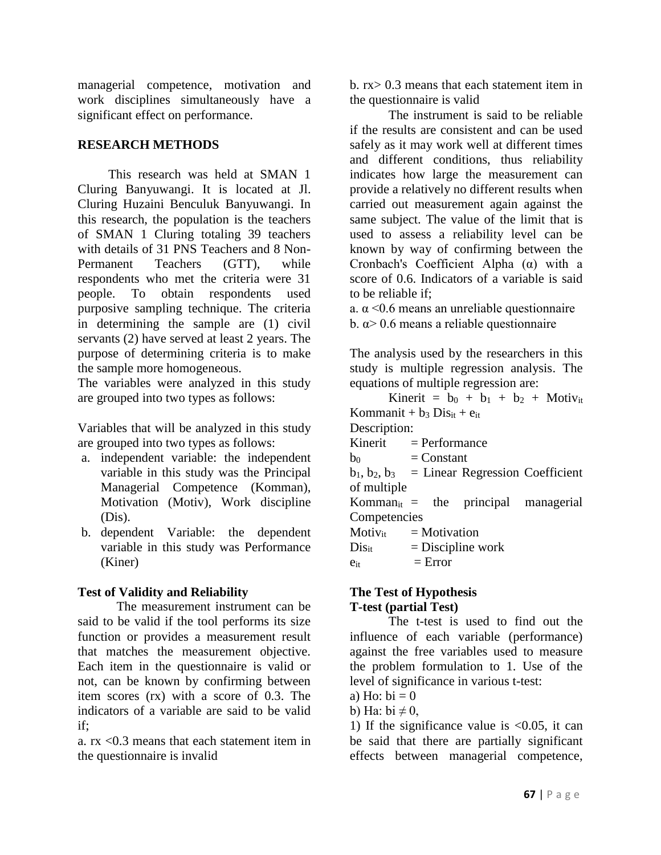managerial competence, motivation and work disciplines simultaneously have a significant effect on performance.

# **RESEARCH METHODS**

This research was held at SMAN 1 Cluring Banyuwangi. It is located at Jl. Cluring Huzaini Benculuk Banyuwangi. In this research, the population is the teachers of SMAN 1 Cluring totaling 39 teachers with details of 31 PNS Teachers and 8 Non-Permanent Teachers (GTT), while respondents who met the criteria were 31 people. To obtain respondents used purposive sampling technique. The criteria in determining the sample are (1) civil servants (2) have served at least 2 years. The purpose of determining criteria is to make the sample more homogeneous.

The variables were analyzed in this study are grouped into two types as follows:

Variables that will be analyzed in this study are grouped into two types as follows:

- a. independent variable: the independent variable in this study was the Principal Managerial Competence (Komman), Motivation (Motiv), Work discipline (Dis).
- b. dependent Variable: the dependent variable in this study was Performance (Kiner)

# **Test of Validity and Reliability**

The measurement instrument can be said to be valid if the tool performs its size function or provides a measurement result that matches the measurement objective. Each item in the questionnaire is valid or not, can be known by confirming between item scores (rx) with a score of 0.3. The indicators of a variable are said to be valid if;

a. rx <0.3 means that each statement item in the questionnaire is invalid

b. rx> 0.3 means that each statement item in the questionnaire is valid

The instrument is said to be reliable if the results are consistent and can be used safely as it may work well at different times and different conditions, thus reliability indicates how large the measurement can provide a relatively no different results when carried out measurement again against the same subject. The value of the limit that is used to assess a reliability level can be known by way of confirming between the Cronbach's Coefficient Alpha (α) with a score of 0.6. Indicators of a variable is said to be reliable if;

a.  $\alpha$  <0.6 means an unreliable questionnaire b.  $\alpha$  > 0.6 means a reliable questionnaire

The analysis used by the researchers in this study is multiple regression analysis. The equations of multiple regression are:

Kinerit =  $b_0 + b_1 + b_2 +$  Motiv<sub>it</sub> Kommanit +  $b_3$  Dis<sub>it</sub> +  $e_{it}$ Description:  $Kinerit = Performance$  $b_0$  = Constant  $b_1, b_2, b_3$  = Linear Regression Coefficient of multiple Komman<sub>it</sub> = the principal managerial **Competencies**  $Motiv_{it}$  = Motivation  $Dis_{it}$  = Discipline work  $e_{it}$  = Error

## **The Test of Hypothesis T-test (partial Test)**

The t-test is used to find out the influence of each variable (performance) against the free variables used to measure the problem formulation to 1. Use of the level of significance in various t-test:

- a) Ho:  $bi = 0$
- b) Ha:  $bi \neq 0$ ,

1) If the significance value is  $\langle 0.05, 1 \rangle$  it can be said that there are partially significant effects between managerial competence,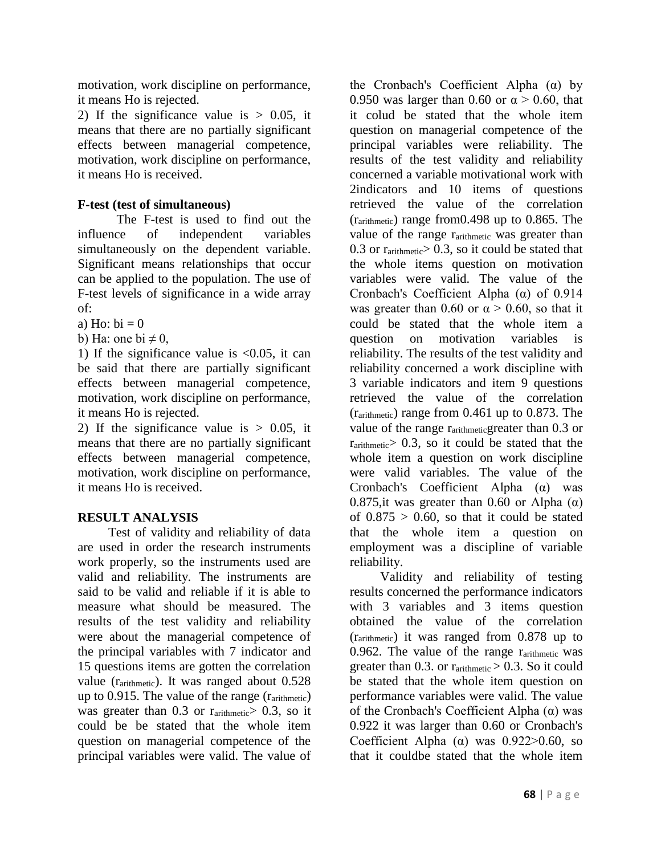motivation, work discipline on performance, it means Ho is rejected.

2) If the significance value is  $> 0.05$ , it means that there are no partially significant effects between managerial competence, motivation, work discipline on performance, it means Ho is received.

# **F-test (test of simultaneous)**

The F-test is used to find out the influence of independent variables simultaneously on the dependent variable. Significant means relationships that occur can be applied to the population. The use of F-test levels of significance in a wide array of:

a) Ho:  $bi = 0$ 

b) Ha: one bi  $\neq$  0,

1) If the significance value is  $< 0.05$ , it can be said that there are partially significant effects between managerial competence, motivation, work discipline on performance, it means Ho is rejected.

2) If the significance value is  $> 0.05$ , it means that there are no partially significant effects between managerial competence, motivation, work discipline on performance, it means Ho is received.

# **RESULT ANALYSIS**

Test of validity and reliability of data are used in order the research instruments work properly, so the instruments used are valid and reliability. The instruments are said to be valid and reliable if it is able to measure what should be measured. The results of the test validity and reliability were about the managerial competence of the principal variables with 7 indicator and 15 questions items are gotten the correlation value (rarithmetic). It was ranged about 0.528 up to 0.915. The value of the range  $(r_{arithmetic})$ was greater than  $0.3$  or  $r_{arithmetic} > 0.3$ , so it could be be stated that the whole item question on managerial competence of the principal variables were valid. The value of

the Cronbach's Coefficient Alpha (α) by 0.950 was larger than 0.60 or  $\alpha$  > 0.60, that it colud be stated that the whole item question on managerial competence of the principal variables were reliability. The results of the test validity and reliability concerned a variable motivational work with 2indicators and 10 items of questions retrieved the value of the correlation (rarithmetic) range from0.498 up to 0.865. The value of the range rarithmetic was greater than  $0.3$  or  $r_{arithmetic} > 0.3$ , so it could be stated that the whole items question on motivation variables were valid. The value of the Cronbach's Coefficient Alpha (α) of 0.914 was greater than 0.60 or  $\alpha > 0.60$ , so that it could be stated that the whole item a question on motivation variables is reliability. The results of the test validity and reliability concerned a work discipline with 3 variable indicators and item 9 questions retrieved the value of the correlation (rarithmetic) range from 0.461 up to 0.873. The value of the range rarithmeticgreater than 0.3 or  $r_{\text{arithmetic}} > 0.3$ , so it could be stated that the whole item a question on work discipline were valid variables. The value of the Cronbach's Coefficient Alpha (α) was 0.875, it was greater than 0.60 or Alpha  $(\alpha)$ of  $0.875 > 0.60$ , so that it could be stated that the whole item a question on employment was a discipline of variable reliability.

Validity and reliability of testing results concerned the performance indicators with 3 variables and 3 items question obtained the value of the correlation (rarithmetic) it was ranged from 0.878 up to 0.962. The value of the range rarithmetic was greater than 0.3. or  $r_{arithmetic} > 0.3$ . So it could be stated that the whole item question on performance variables were valid. The value of the Cronbach's Coefficient Alpha (α) was 0.922 it was larger than 0.60 or Cronbach's Coefficient Alpha ( $\alpha$ ) was 0.922>0.60, so that it couldbe stated that the whole item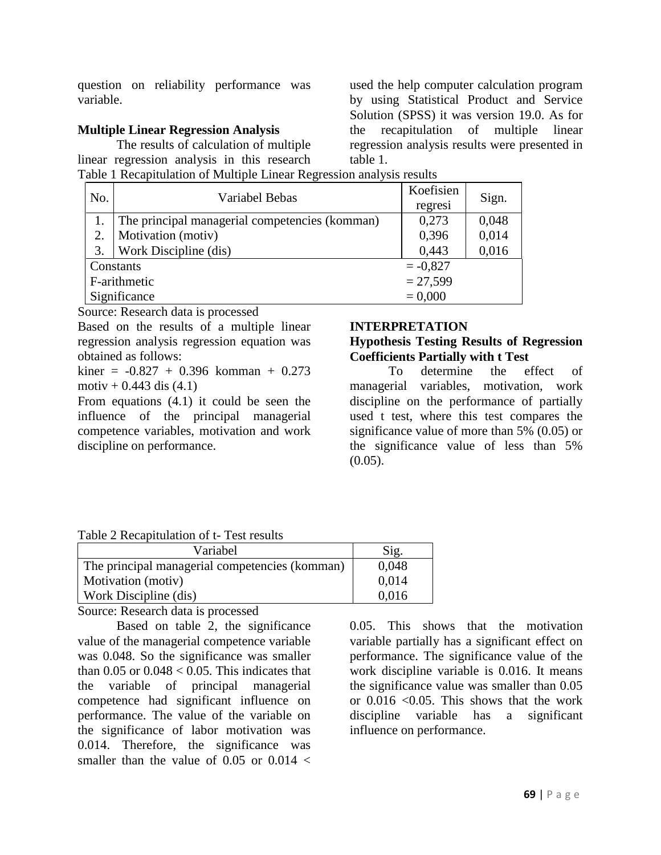question on reliability performance was variable.

## **Multiple Linear Regression Analysis**

The results of calculation of multiple linear regression analysis in this research Table 1 Recapitulation of Multiple Linear Regression analysis results

used the help computer calculation program by using Statistical Product and Service Solution (SPSS) it was version 19.0. As for the recapitulation of multiple linear regression analysis results were presented in table 1.

| No.          | Variabel Bebas                                 | Koefisien | Sign. |
|--------------|------------------------------------------------|-----------|-------|
|              |                                                | regresi   |       |
|              | The principal managerial competencies (komman) | 0,273     | 0,048 |
| 2.           | Motivation (motiv)                             | 0,396     | 0,014 |
| 3.           | Work Discipline (dis)                          | 0,443     | 0,016 |
|              | $=-0.827$<br>Constants                         |           |       |
|              | $= 27,599$<br>F-arithmetic                     |           |       |
| Significance |                                                | $= 0,000$ |       |

Source: Research data is processed

Based on the results of a multiple linear regression analysis regression equation was obtained as follows:

 $kiner = -0.827 + 0.396$  komman + 0.273 motiv +  $0.443$  dis  $(4.1)$ 

From equations (4.1) it could be seen the influence of the principal managerial competence variables, motivation and work discipline on performance.

### **INTERPRETATION**

# **Hypothesis Testing Results of Regression Coefficients Partially with t Test**

To determine the effect of managerial variables, motivation, work discipline on the performance of partially used t test, where this test compares the significance value of more than 5% (0.05) or the significance value of less than 5%  $(0.05)$ .

### Table 2 Recapitulation of t- Test results

| Variabel                                       | Sig.  |
|------------------------------------------------|-------|
| The principal managerial competencies (komman) | 0,048 |
| Motivation (motiv)                             | 0,014 |
| Work Discipline (dis)                          | 0,016 |

Source: Research data is processed

Based on table 2, the significance value of the managerial competence variable was 0.048. So the significance was smaller than  $0.05$  or  $0.048 < 0.05$ . This indicates that the variable of principal managerial competence had significant influence on performance. The value of the variable on the significance of labor motivation was 0.014. Therefore, the significance was smaller than the value of 0.05 or  $0.014 <$ 

0.05. This shows that the motivation variable partially has a significant effect on performance. The significance value of the work discipline variable is 0.016. It means the significance value was smaller than 0.05 or  $0.016$  < 0.05. This shows that the work discipline variable has a significant influence on performance.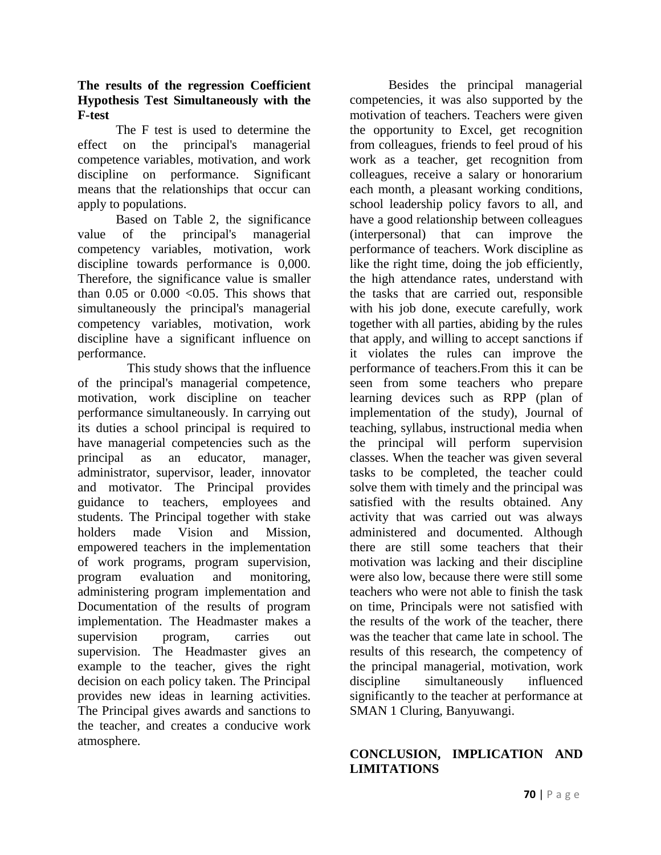## **The results of the regression Coefficient Hypothesis Test Simultaneously with the F-test**

The F test is used to determine the effect on the principal's managerial competence variables, motivation, and work discipline on performance. Significant means that the relationships that occur can apply to populations.

Based on Table 2, the significance value of the principal's managerial competency variables, motivation, work discipline towards performance is 0,000. Therefore, the significance value is smaller than  $0.05$  or  $0.000 \le 0.05$ . This shows that simultaneously the principal's managerial competency variables, motivation, work discipline have a significant influence on performance.

This study shows that the influence of the principal's managerial competence, motivation, work discipline on teacher performance simultaneously. In carrying out its duties a school principal is required to have managerial competencies such as the principal as an educator, manager, administrator, supervisor, leader, innovator and motivator. The Principal provides guidance to teachers, employees and students. The Principal together with stake holders made Vision and Mission, empowered teachers in the implementation of work programs, program supervision, program evaluation and monitoring, administering program implementation and Documentation of the results of program implementation. The Headmaster makes a supervision program, carries out supervision. The Headmaster gives an example to the teacher, gives the right decision on each policy taken. The Principal provides new ideas in learning activities. The Principal gives awards and sanctions to the teacher, and creates a conducive work atmosphere.

Besides the principal managerial competencies, it was also supported by the motivation of teachers. Teachers were given the opportunity to Excel, get recognition from colleagues, friends to feel proud of his work as a teacher, get recognition from colleagues, receive a salary or honorarium each month, a pleasant working conditions, school leadership policy favors to all, and have a good relationship between colleagues (interpersonal) that can improve the performance of teachers. Work discipline as like the right time, doing the job efficiently, the high attendance rates, understand with the tasks that are carried out, responsible with his job done, execute carefully, work together with all parties, abiding by the rules that apply, and willing to accept sanctions if it violates the rules can improve the performance of teachers.From this it can be seen from some teachers who prepare learning devices such as RPP (plan of implementation of the study), Journal of teaching, syllabus, instructional media when the principal will perform supervision classes. When the teacher was given several tasks to be completed, the teacher could solve them with timely and the principal was satisfied with the results obtained. Any activity that was carried out was always administered and documented. Although there are still some teachers that their motivation was lacking and their discipline were also low, because there were still some teachers who were not able to finish the task on time, Principals were not satisfied with the results of the work of the teacher, there was the teacher that came late in school. The results of this research, the competency of the principal managerial, motivation, work discipline simultaneously influenced significantly to the teacher at performance at SMAN 1 Cluring, Banyuwangi.

# **CONCLUSION, IMPLICATION AND LIMITATIONS**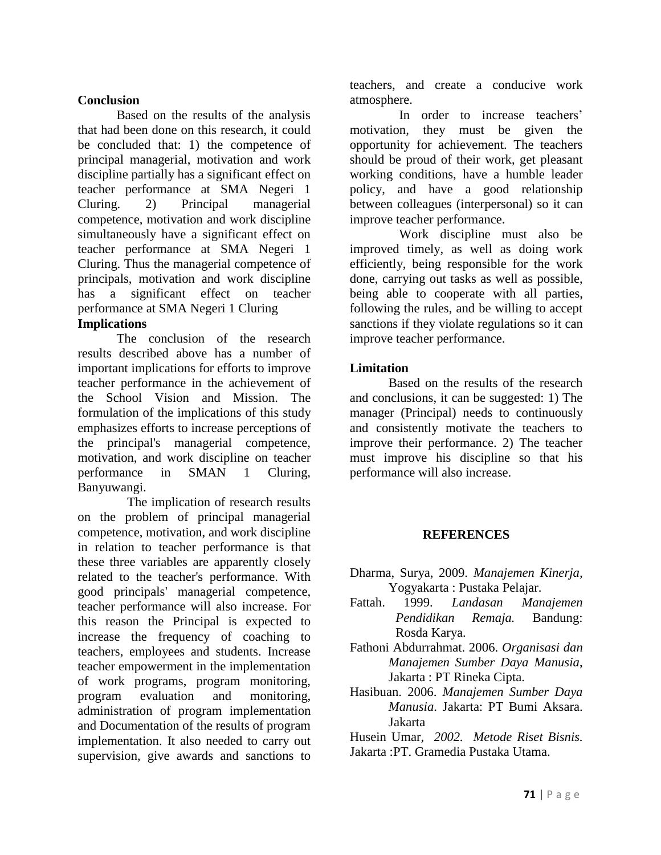## **Conclusion**

Based on the results of the analysis that had been done on this research, it could be concluded that: 1) the competence of principal managerial, motivation and work discipline partially has a significant effect on teacher performance at SMA Negeri 1 Cluring. 2) Principal managerial competence, motivation and work discipline simultaneously have a significant effect on teacher performance at SMA Negeri 1 Cluring. Thus the managerial competence of principals, motivation and work discipline has a significant effect on teacher performance at SMA Negeri 1 Cluring

# **Implications**

The conclusion of the research results described above has a number of important implications for efforts to improve teacher performance in the achievement of the School Vision and Mission. The formulation of the implications of this study emphasizes efforts to increase perceptions of the principal's managerial competence, motivation, and work discipline on teacher performance in SMAN 1 Cluring, Banyuwangi.

The implication of research results on the problem of principal managerial competence, motivation, and work discipline in relation to teacher performance is that these three variables are apparently closely related to the teacher's performance. With good principals' managerial competence, teacher performance will also increase. For this reason the Principal is expected to increase the frequency of coaching to teachers, employees and students. Increase teacher empowerment in the implementation of work programs, program monitoring, program evaluation and monitoring, administration of program implementation and Documentation of the results of program implementation. It also needed to carry out supervision, give awards and sanctions to

teachers, and create a conducive work atmosphere.

In order to increase teachers' motivation, they must be given the opportunity for achievement. The teachers should be proud of their work, get pleasant working conditions, have a humble leader policy, and have a good relationship between colleagues (interpersonal) so it can improve teacher performance.

Work discipline must also be improved timely, as well as doing work efficiently, being responsible for the work done, carrying out tasks as well as possible, being able to cooperate with all parties, following the rules, and be willing to accept sanctions if they violate regulations so it can improve teacher performance.

## **Limitation**

Based on the results of the research and conclusions, it can be suggested: 1) The manager (Principal) needs to continuously and consistently motivate the teachers to improve their performance. 2) The teacher must improve his discipline so that his performance will also increase.

## **REFERENCES**

- Dharma, Surya, 2009. *Manajemen Kinerja,*  Yogyakarta : Pustaka Pelajar.
- Fattah. 1999. *Landasan Manajemen Pendidikan Remaja.* Bandung: Rosda Karya.
- Fathoni Abdurrahmat. 2006. *Organisasi dan Manajemen Sumber Daya Manusia*, Jakarta : PT Rineka Cipta.
- Hasibuan. 2006. *Manajemen Sumber Daya Manusia*. Jakarta: PT Bumi Aksara. Jakarta

Husein Umar*, 2002. Metode Riset Bisnis.*  Jakarta :PT. Gramedia Pustaka Utama.